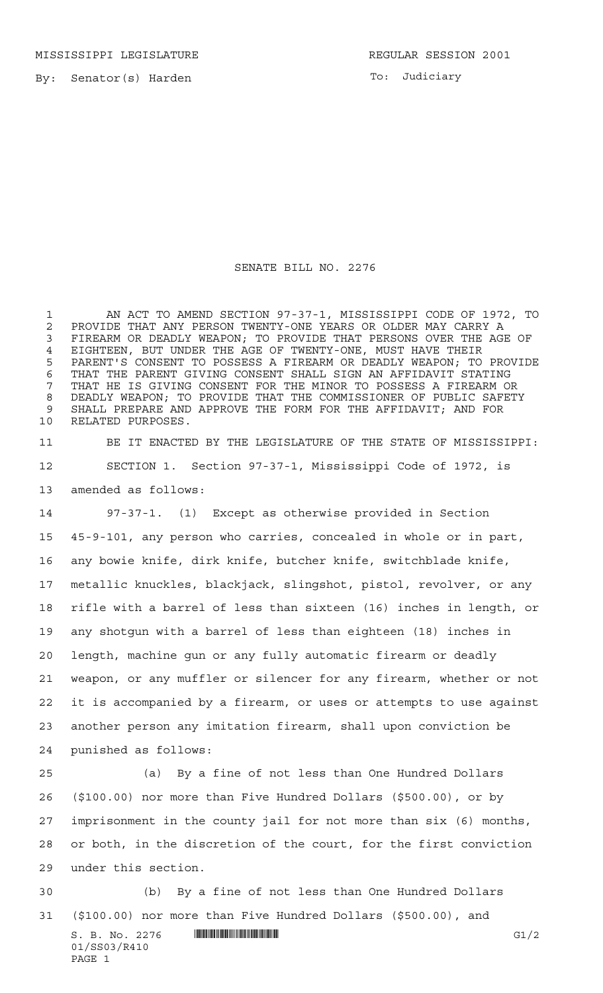MISSISSIPPI LEGISLATURE **REGULAR SESSION 2001** 

By: Senator(s) Harden

To: Judiciary

## SENATE BILL NO. 2276

 AN ACT TO AMEND SECTION 97-37-1, MISSISSIPPI CODE OF 1972, TO 2 PROVIDE THAT ANY PERSON TWENTY-ONE YEARS OR OLDER MAY CARRY A<br>3 FIREARM OR DEADLY WEAPON: TO PROVIDE THAT PERSONS OVER THE AGI FIREARM OR DEADLY WEAPON; TO PROVIDE THAT PERSONS OVER THE AGE OF EIGHTEEN, BUT UNDER THE AGE OF TWENTY-ONE, MUST HAVE THEIR PARENT'S CONSENT TO POSSESS A FIREARM OR DEADLY WEAPON; TO PROVIDE THAT THE PARENT GIVING CONSENT SHALL SIGN AN AFFIDAVIT STATING THAT HE IS GIVING CONSENT FOR THE MINOR TO POSSESS A FIREARM OR DEADLY WEAPON; TO PROVIDE THAT THE COMMISSIONER OF PUBLIC SAFETY SHALL PREPARE AND APPROVE THE FORM FOR THE AFFIDAVIT; AND FOR RELATED PURPOSES.

 BE IT ENACTED BY THE LEGISLATURE OF THE STATE OF MISSISSIPPI: SECTION 1. Section 97-37-1, Mississippi Code of 1972, is amended as follows:

 97-37-1. (1) Except as otherwise provided in Section 45-9-101, any person who carries, concealed in whole or in part, any bowie knife, dirk knife, butcher knife, switchblade knife, metallic knuckles, blackjack, slingshot, pistol, revolver, or any rifle with a barrel of less than sixteen (16) inches in length, or any shotgun with a barrel of less than eighteen (18) inches in length, machine gun or any fully automatic firearm or deadly weapon, or any muffler or silencer for any firearm, whether or not it is accompanied by a firearm, or uses or attempts to use against another person any imitation firearm, shall upon conviction be punished as follows:

 (a) By a fine of not less than One Hundred Dollars (\$100.00) nor more than Five Hundred Dollars (\$500.00), or by imprisonment in the county jail for not more than six (6) months, or both, in the discretion of the court, for the first conviction under this section.

 (b) By a fine of not less than One Hundred Dollars (\$100.00) nor more than Five Hundred Dollars (\$500.00), and

 $S. B. No. 2276$  **INNIFICALLY INSERIAL INSTEAD OF A SET OF A SET OF A SET OF A SET OF A SET OF A SET OF A SET OF A SET OF A SET OF A SET OF A SET OF A SET OF A SET OF A SET OF A SET OF A SET OF A SET OF A SET OF A SET OF A** 01/SS03/R410 PAGE 1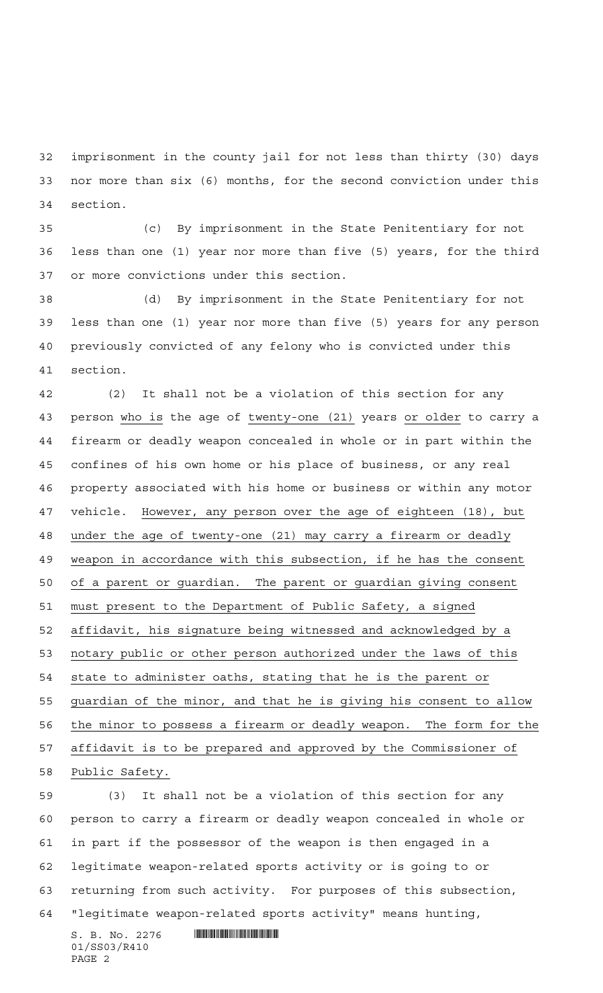imprisonment in the county jail for not less than thirty (30) days nor more than six (6) months, for the second conviction under this section.

 (c) By imprisonment in the State Penitentiary for not less than one (1) year nor more than five (5) years, for the third or more convictions under this section.

 (d) By imprisonment in the State Penitentiary for not less than one (1) year nor more than five (5) years for any person previously convicted of any felony who is convicted under this section.

 (2) It shall not be a violation of this section for any person who is the age of twenty-one (21) years or older to carry a firearm or deadly weapon concealed in whole or in part within the confines of his own home or his place of business, or any real property associated with his home or business or within any motor vehicle. However, any person over the age of eighteen (18), but under the age of twenty-one (21) may carry a firearm or deadly 49 weapon in accordance with this subsection, if he has the consent of a parent or guardian. The parent or guardian giving consent must present to the Department of Public Safety, a signed affidavit, his signature being witnessed and acknowledged by a notary public or other person authorized under the laws of this state to administer oaths, stating that he is the parent or guardian of the minor, and that he is giving his consent to allow the minor to possess a firearm or deadly weapon. The form for the affidavit is to be prepared and approved by the Commissioner of Public Safety.

 (3) It shall not be a violation of this section for any person to carry a firearm or deadly weapon concealed in whole or in part if the possessor of the weapon is then engaged in a legitimate weapon-related sports activity or is going to or returning from such activity. For purposes of this subsection, "legitimate weapon-related sports activity" means hunting,

 $S. B. No. 2276$  . And the state of the state of  $S. B. NO. 2276$ 01/SS03/R410 PAGE 2